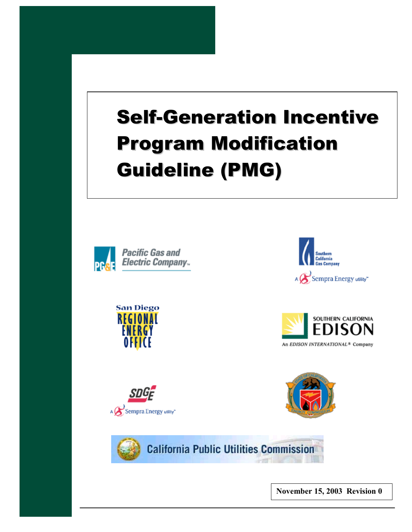# Self-Generation Incentive Program Modification Guideline (PMG)















**California Public Utilities Commission** 

**November 15, 2003 Revision 0**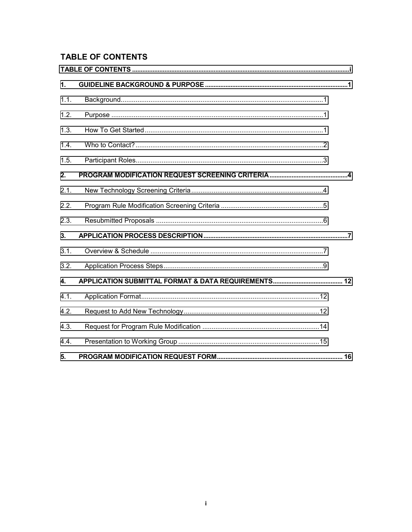# **TABLE OF CONTENTS**

| $\mathbf{1}$ |  |
|--------------|--|
| 1.1.         |  |
| 1.2.         |  |
| 1.3.         |  |
| 1.4.         |  |
| 1.5.         |  |
| 2.           |  |
| 2.1.         |  |
| 2.2.         |  |
| 2.3.         |  |
| 3.           |  |
| 3.1.         |  |
| 3.2.         |  |
| $\mathbf{4}$ |  |
| 4.1.         |  |
| 4.2.         |  |
| 4.3.         |  |
| 4.4.         |  |
| 5.           |  |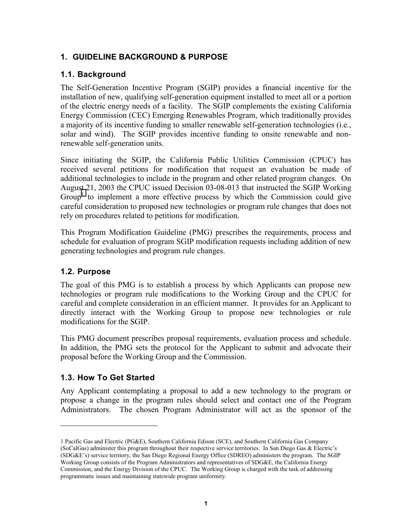# <span id="page-2-0"></span>**1. GUIDELINE BACKGROUND & PURPOSE**

# **1.1. Background**

The Self-Generation Incentive Program (SGIP) provides a financial incentive for the installation of new, qualifying self-generation equipment installed to meet all or a portion of the electric energy needs of a facility. The SGIP complements the existing California Energy Commission (CEC) Emerging Renewables Program, which traditionally provides a majority of its incentive funding to smaller renewable self-generation technologies (i.e., solar and wind). The SGIP provides incentive funding to onsite renewable and nonrenewable self-generation units.

Since initiating the SGIP, the California Public Utilities Commission (CPUC) has received several petitions for modification that request an evaluation be made of additional technologies to include in the program and other related program changes. On August 21, 2003 the CPUC issued Decision 03-08-013 that instructed the SGIP Working Group<sup>1</sup> to implement a more effective process by which the Commission could give careful consideration to proposed new technologies or program rule changes that does not rely on procedures related to petitions for modification.

This Program Modification Guideline (PMG) prescribes the requirements, process and schedule for evaluation of program SGIP modification requests including addition of new generating technologies and program rule changes.

## **1.2. Purpose**

 $\overline{a}$ 

The goal of this PMG is to establish a process by which Applicants can propose new technologies or program rule modifications to the Working Group and the CPUC for careful and complete consideration in an efficient manner. It provides for an Applicant to directly interact with the Working Group to propose new technologies or rule modifications for the SGIP.

This PMG document prescribes proposal requirements, evaluation process and schedule. In addition, the PMG sets the protocol for the Applicant to submit and advocate their proposal before the Working Group and the Commission.

# **1.3. How To Get Started**

Any Applicant contemplating a proposal to add a new technology to the program or propose a change in the program rules should select and contact one of the Program Administrators. The chosen Program Administrator will act as the sponsor of the

<sup>1</sup> Pacific Gas and Electric (PG&E), Southern California Edison (SCE), and Southern California Gas Company (SoCalGas) administer this program throughout their respective service territories. In San Diego Gas & Electric's (SDG&E's) service territory, the San Diego Regional Energy Office (SDREO) administers the program. The SGIP Working Group consists of the Program Administrators and representatives of SDG&E, the California Energy Commission, and the Energy Division of the CPUC. The Working Group is charged with the task of addressing programmatic issues and maintaining statewide program uniformity.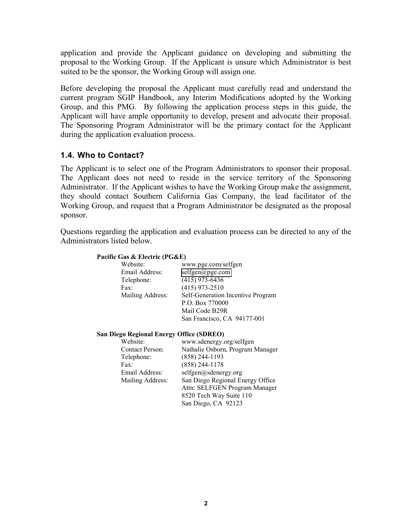<span id="page-3-0"></span>application and provide the Applicant guidance on developing and submitting the proposal to the Working Group. If the Applicant is unsure which Administrator is best suited to be the sponsor, the Working Group will assign one.

Before developing the proposal the Applicant must carefully read and understand the current program SGIP Handbook, any Interim Modifications adopted by the Working Group, and this PMG. By following the application process steps in this guide, the Applicant will have ample opportunity to develop, present and advocate their proposal. The Sponsoring Program Administrator will be the primary contact for the Applicant during the application evaluation process.

# **1.4. Who to Contact?**

The Applicant is to select one of the Program Administrators to sponsor their proposal. The Applicant does not need to reside in the service territory of the Sponsoring Administrator. If the Applicant wishes to have the Working Group make the assignment, they should contact Southern California Gas Company, the lead facilitator of the Working Group, and request that a Program Administrator be designated as the proposal sponsor.

Questions regarding the application and evaluation process can be directed to any of the Administrators listed below.

#### **Pacific Gas & Electric (PG&E)**

| Website:         | www.pge.com/selfgen               |
|------------------|-----------------------------------|
| Email Address:   | $selfgen(\widehat{a})$ pge.com    |
| Telephone:       | $(415)$ 973-6436                  |
| Fax:             | $(415)$ 973-2510                  |
| Mailing Address: | Self-Generation Incentive Program |
|                  | P.O. Box 770000                   |
|                  | Mail Code B29R                    |
|                  | San Francisco, CA 94177-001       |

#### **San Diego Regional Energy Office (SDREO)**

| Website:               | www.sdenergy.org/selfgen         |
|------------------------|----------------------------------|
| <b>Contact Person:</b> | Nathalie Osborn, Program Manager |
| Telephone:             | $(858)$ 244-1193                 |
| Fax:                   | $(858)$ 244-1178                 |
| Email Address:         | selfgen@sdenergy.org             |
| Mailing Address:       | San Diego Regional Energy Office |
|                        | Attn: SELFGEN Program Manager    |
|                        | 8520 Tech Way Suite 110          |
|                        | San Diego, CA 92123              |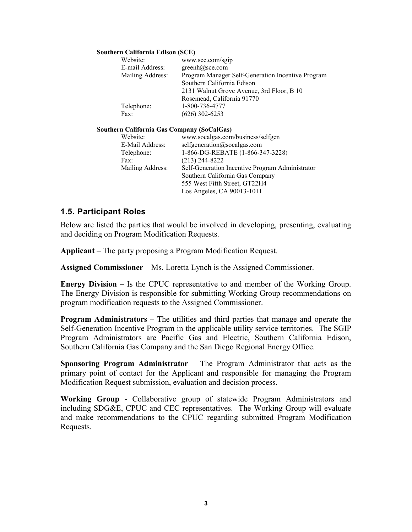#### <span id="page-4-0"></span>**Southern California Edison (SCE)**

| Website:         | www.sce.com/sgip                                  |
|------------------|---------------------------------------------------|
| E-mail Address:  | $greenh@$ sce.com                                 |
| Mailing Address: | Program Manager Self-Generation Incentive Program |
|                  | Southern California Edison                        |
|                  | 2131 Walnut Grove Avenue, 3rd Floor, B 10         |
|                  | Rosemead, California 91770                        |
| Telephone:       | 1-800-736-4777                                    |
| Fax:             | $(626)$ 302-6253                                  |
|                  |                                                   |

#### **Southern California Gas Company (SoCalGas)**

| Website:         | www.socalgas.com/business/selfgen               |
|------------------|-------------------------------------------------|
| E-Mail Address:  | selfgeneration@socalgas.com                     |
| Telephone:       | 1-866-DG-REBATE (1-866-347-3228)                |
| Fax:             | $(213)$ 244-8222                                |
| Mailing Address: | Self-Generation Incentive Program Administrator |
|                  | Southern California Gas Company                 |
|                  | 555 West Fifth Street, GT22H4                   |
|                  | Los Angeles, CA 90013-1011                      |
|                  |                                                 |

#### **1.5. Participant Roles**

Below are listed the parties that would be involved in developing, presenting, evaluating and deciding on Program Modification Requests.

**Applicant** – The party proposing a Program Modification Request.

**Assigned Commissioner** – Ms. Loretta Lynch is the Assigned Commissioner.

**Energy Division** – Is the CPUC representative to and member of the Working Group. The Energy Division is responsible for submitting Working Group recommendations on program modification requests to the Assigned Commissioner.

**Program Administrators** – The utilities and third parties that manage and operate the Self-Generation Incentive Program in the applicable utility service territories. The SGIP Program Administrators are Pacific Gas and Electric, Southern California Edison, Southern California Gas Company and the San Diego Regional Energy Office.

**Sponsoring Program Administrator** – The Program Administrator that acts as the primary point of contact for the Applicant and responsible for managing the Program Modification Request submission, evaluation and decision process.

**Working Group** - Collaborative group of statewide Program Administrators and including SDG&E, CPUC and CEC representatives. The Working Group will evaluate and make recommendations to the CPUC regarding submitted Program Modification Requests.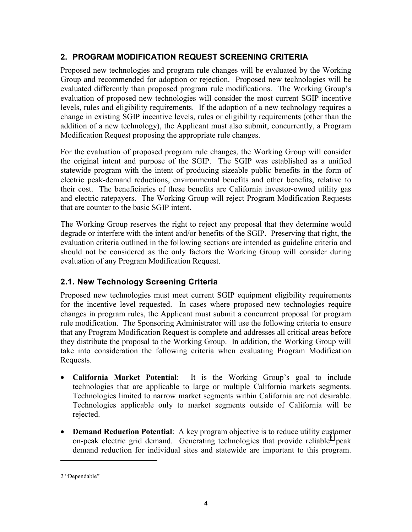# <span id="page-5-0"></span>**2. PROGRAM MODIFICATION REQUEST SCREENING CRITERIA**

Proposed new technologies and program rule changes will be evaluated by the Working Group and recommended for adoption or rejection. Proposed new technologies will be evaluated differently than proposed program rule modifications. The Working Group's evaluation of proposed new technologies will consider the most current SGIP incentive levels, rules and eligibility requirements. If the adoption of a new technology requires a change in existing SGIP incentive levels, rules or eligibility requirements (other than the addition of a new technology), the Applicant must also submit, concurrently, a Program Modification Request proposing the appropriate rule changes.

For the evaluation of proposed program rule changes, the Working Group will consider the original intent and purpose of the SGIP. The SGIP was established as a unified statewide program with the intent of producing sizeable public benefits in the form of electric peak-demand reductions, environmental benefits and other benefits, relative to their cost. The beneficiaries of these benefits are California investor-owned utility gas and electric ratepayers. The Working Group will reject Program Modification Requests that are counter to the basic SGIP intent.

The Working Group reserves the right to reject any proposal that they determine would degrade or interfere with the intent and/or benefits of the SGIP. Preserving that right, the evaluation criteria outlined in the following sections are intended as guideline criteria and should not be considered as the only factors the Working Group will consider during evaluation of any Program Modification Request.

# **2.1. New Technology Screening Criteria**

Proposed new technologies must meet current SGIP equipment eligibility requirements for the incentive level requested. In cases where proposed new technologies require changes in program rules, the Applicant must submit a concurrent proposal for program rule modification. The Sponsoring Administrator will use the following criteria to ensure that any Program Modification Request is complete and addresses all critical areas before they distribute the proposal to the Working Group. In addition, the Working Group will take into consideration the following criteria when evaluating Program Modification Requests.

- **California Market Potential**: It is the Working Group's goal to include technologies that are applicable to large or multiple California markets segments. Technologies limited to narrow market segments within California are not desirable. Technologies applicable only to market segments outside of California will be rejected.
- **Demand Reduction Potential**: A key program objective is to reduce utility customer on-peak electric grid demand. Generating technologies that provide reliable<sup>2</sup> peak demand reduction for individual sites and statewide are important to this program.

 $\overline{a}$ 

<sup>2 &</sup>quot;Dependable"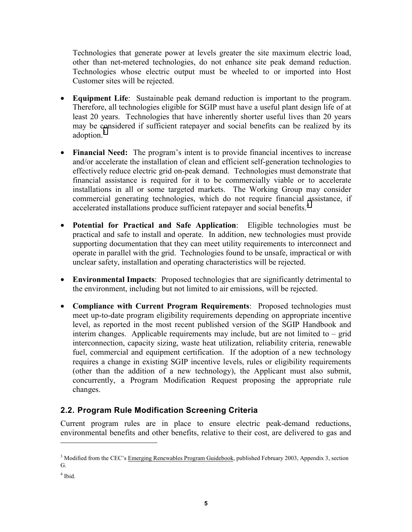<span id="page-6-0"></span>Technologies that generate power at levels greater the site maximum electric load, other than net-metered technologies, do not enhance site peak demand reduction. Technologies whose electric output must be wheeled to or imported into Host Customer sites will be rejected.

- **Equipment Life**: Sustainable peak demand reduction is important to the program. Therefore, all technologies eligible for SGIP must have a useful plant design life of at least 20 years. Technologies that have inherently shorter useful lives than 20 years may be considered if sufficient ratepayer and social benefits can be realized by its adoption.<sup>3</sup>
- **Financial Need:** The program's intent is to provide financial incentives to increase and/or accelerate the installation of clean and efficient self-generation technologies to effectively reduce electric grid on-peak demand. Technologies must demonstrate that financial assistance is required for it to be commercially viable or to accelerate installations in all or some targeted markets. The Working Group may consider commercial generating technologies, which do not require financial assistance, if accelerated installations produce sufficient ratepayer and social benefits.<sup>4</sup>
- **Potential for Practical and Safe Application**: Eligible technologies must be practical and safe to install and operate. In addition, new technologies must provide supporting documentation that they can meet utility requirements to interconnect and operate in parallel with the grid. Technologies found to be unsafe, impractical or with unclear safety, installation and operating characteristics will be rejected.
- **Environmental Impacts**: Proposed technologies that are significantly detrimental to the environment, including but not limited to air emissions, will be rejected.
- **Compliance with Current Program Requirements**: Proposed technologies must meet up-to-date program eligibility requirements depending on appropriate incentive level, as reported in the most recent published version of the SGIP Handbook and interim changes. Applicable requirements may include, but are not limited to – grid interconnection, capacity sizing, waste heat utilization, reliability criteria, renewable fuel, commercial and equipment certification. If the adoption of a new technology requires a change in existing SGIP incentive levels, rules or eligibility requirements (other than the addition of a new technology), the Applicant must also submit, concurrently, a Program Modification Request proposing the appropriate rule changes.

# **2.2. Program Rule Modification Screening Criteria**

Current program rules are in place to ensure electric peak-demand reductions, environmental benefits and other benefits, relative to their cost, are delivered to gas and

 $\overline{a}$ 

<sup>&</sup>lt;sup>3</sup> Modified from the CEC's Emerging Renewables Program Guidebook, published February 2003, Appendix 3, section G.

<sup>4</sup> Ibid.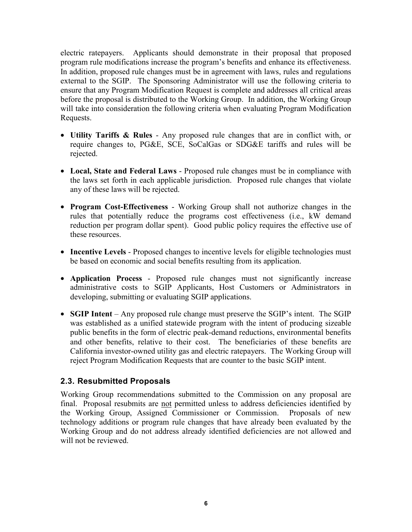<span id="page-7-0"></span>electric ratepayers. Applicants should demonstrate in their proposal that proposed program rule modifications increase the program's benefits and enhance its effectiveness. In addition, proposed rule changes must be in agreement with laws, rules and regulations external to the SGIP. The Sponsoring Administrator will use the following criteria to ensure that any Program Modification Request is complete and addresses all critical areas before the proposal is distributed to the Working Group. In addition, the Working Group will take into consideration the following criteria when evaluating Program Modification Requests.

- **Utility Tariffs & Rules** Any proposed rule changes that are in conflict with, or require changes to, PG&E, SCE, SoCalGas or SDG&E tariffs and rules will be rejected.
- **Local, State and Federal Laws** Proposed rule changes must be in compliance with the laws set forth in each applicable jurisdiction. Proposed rule changes that violate any of these laws will be rejected.
- **Program Cost-Effectiveness** Working Group shall not authorize changes in the rules that potentially reduce the programs cost effectiveness (i.e., kW demand reduction per program dollar spent). Good public policy requires the effective use of these resources.
- **Incentive Levels** Proposed changes to incentive levels for eligible technologies must be based on economic and social benefits resulting from its application.
- **Application Process** Proposed rule changes must not significantly increase administrative costs to SGIP Applicants, Host Customers or Administrators in developing, submitting or evaluating SGIP applications.
- **SGIP Intent** Any proposed rule change must preserve the SGIP's intent. The SGIP was established as a unified statewide program with the intent of producing sizeable public benefits in the form of electric peak-demand reductions, environmental benefits and other benefits, relative to their cost. The beneficiaries of these benefits are California investor-owned utility gas and electric ratepayers. The Working Group will reject Program Modification Requests that are counter to the basic SGIP intent.

# **2.3. Resubmitted Proposals**

Working Group recommendations submitted to the Commission on any proposal are final. Proposal resubmits are not permitted unless to address deficiencies identified by the Working Group, Assigned Commissioner or Commission. Proposals of new technology additions or program rule changes that have already been evaluated by the Working Group and do not address already identified deficiencies are not allowed and will not be reviewed.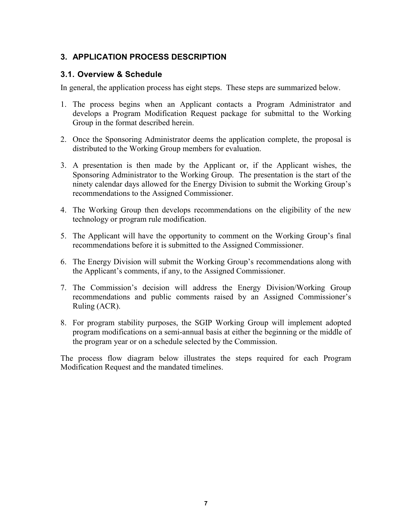# <span id="page-8-0"></span>**3. APPLICATION PROCESS DESCRIPTION**

# **3.1. Overview & Schedule**

In general, the application process has eight steps. These steps are summarized below.

- 1. The process begins when an Applicant contacts a Program Administrator and develops a Program Modification Request package for submittal to the Working Group in the format described herein.
- 2. Once the Sponsoring Administrator deems the application complete, the proposal is distributed to the Working Group members for evaluation.
- 3. A presentation is then made by the Applicant or, if the Applicant wishes, the Sponsoring Administrator to the Working Group. The presentation is the start of the ninety calendar days allowed for the Energy Division to submit the Working Group's recommendations to the Assigned Commissioner.
- 4. The Working Group then develops recommendations on the eligibility of the new technology or program rule modification.
- 5. The Applicant will have the opportunity to comment on the Working Group's final recommendations before it is submitted to the Assigned Commissioner.
- 6. The Energy Division will submit the Working Group's recommendations along with the Applicant's comments, if any, to the Assigned Commissioner.
- 7. The Commission's decision will address the Energy Division/Working Group recommendations and public comments raised by an Assigned Commissioner's Ruling (ACR).
- 8. For program stability purposes, the SGIP Working Group will implement adopted program modifications on a semi-annual basis at either the beginning or the middle of the program year or on a schedule selected by the Commission.

The process flow diagram below illustrates the steps required for each Program Modification Request and the mandated timelines.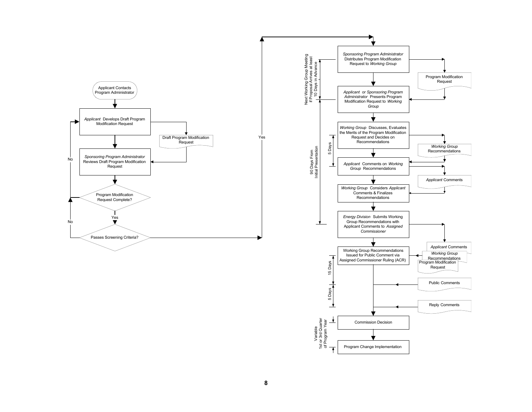

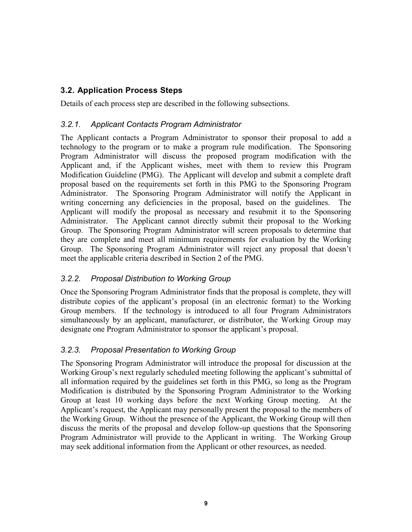# <span id="page-10-0"></span>**3.2. Application Process Steps**

Details of each process step are described in the following subsections.

# *3.2.1. Applicant Contacts Program Administrator*

The Applicant contacts a Program Administrator to sponsor their proposal to add a technology to the program or to make a program rule modification. The Sponsoring Program Administrator will discuss the proposed program modification with the Applicant and, if the Applicant wishes, meet with them to review this Program Modification Guideline (PMG). The Applicant will develop and submit a complete draft proposal based on the requirements set forth in this PMG to the Sponsoring Program Administrator. The Sponsoring Program Administrator will notify the Applicant in writing concerning any deficiencies in the proposal, based on the guidelines. The Applicant will modify the proposal as necessary and resubmit it to the Sponsoring Administrator. The Applicant cannot directly submit their proposal to the Working Group. The Sponsoring Program Administrator will screen proposals to determine that they are complete and meet all minimum requirements for evaluation by the Working Group. The Sponsoring Program Administrator will reject any proposal that doesn't meet the applicable criteria described in Section 2 of the PMG.

# *3.2.2. Proposal Distribution to Working Group*

Once the Sponsoring Program Administrator finds that the proposal is complete, they will distribute copies of the applicant's proposal (in an electronic format) to the Working Group members. If the technology is introduced to all four Program Administrators simultaneously by an applicant, manufacturer, or distributor, the Working Group may designate one Program Administrator to sponsor the applicant's proposal.

# *3.2.3. Proposal Presentation to Working Group*

The Sponsoring Program Administrator will introduce the proposal for discussion at the Working Group's next regularly scheduled meeting following the applicant's submittal of all information required by the guidelines set forth in this PMG, so long as the Program Modification is distributed by the Sponsoring Program Administrator to the Working Group at least 10 working days before the next Working Group meeting. At the Applicant's request, the Applicant may personally present the proposal to the members of the Working Group. Without the presence of the Applicant, the Working Group will then discuss the merits of the proposal and develop follow-up questions that the Sponsoring Program Administrator will provide to the Applicant in writing. The Working Group may seek additional information from the Applicant or other resources, as needed.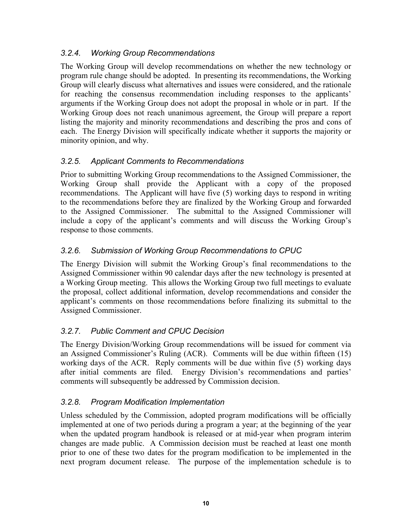# *3.2.4. Working Group Recommendations*

The Working Group will develop recommendations on whether the new technology or program rule change should be adopted. In presenting its recommendations, the Working Group will clearly discuss what alternatives and issues were considered, and the rationale for reaching the consensus recommendation including responses to the applicants' arguments if the Working Group does not adopt the proposal in whole or in part. If the Working Group does not reach unanimous agreement, the Group will prepare a report listing the majority and minority recommendations and describing the pros and cons of each. The Energy Division will specifically indicate whether it supports the majority or minority opinion, and why.

# *3.2.5. Applicant Comments to Recommendations*

Prior to submitting Working Group recommendations to the Assigned Commissioner, the Working Group shall provide the Applicant with a copy of the proposed recommendations. The Applicant will have five (5) working days to respond in writing to the recommendations before they are finalized by the Working Group and forwarded to the Assigned Commissioner. The submittal to the Assigned Commissioner will include a copy of the applicant's comments and will discuss the Working Group's response to those comments.

# *3.2.6. Submission of Working Group Recommendations to CPUC*

The Energy Division will submit the Working Group's final recommendations to the Assigned Commissioner within 90 calendar days after the new technology is presented at a Working Group meeting. This allows the Working Group two full meetings to evaluate the proposal, collect additional information, develop recommendations and consider the applicant's comments on those recommendations before finalizing its submittal to the Assigned Commissioner.

# *3.2.7. Public Comment and CPUC Decision*

The Energy Division/Working Group recommendations will be issued for comment via an Assigned Commissioner's Ruling (ACR). Comments will be due within fifteen (15) working days of the ACR. Reply comments will be due within five (5) working days after initial comments are filed. Energy Division's recommendations and parties' comments will subsequently be addressed by Commission decision.

# *3.2.8. Program Modification Implementation*

Unless scheduled by the Commission, adopted program modifications will be officially implemented at one of two periods during a program a year; at the beginning of the year when the updated program handbook is released or at mid-year when program interim changes are made public. A Commission decision must be reached at least one month prior to one of these two dates for the program modification to be implemented in the next program document release. The purpose of the implementation schedule is to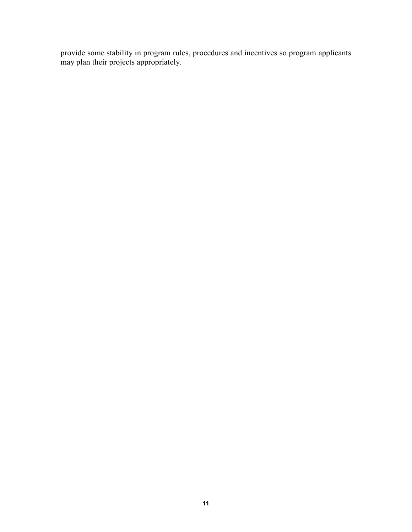provide some stability in program rules, procedures and incentives so program applicants may plan their projects appropriately.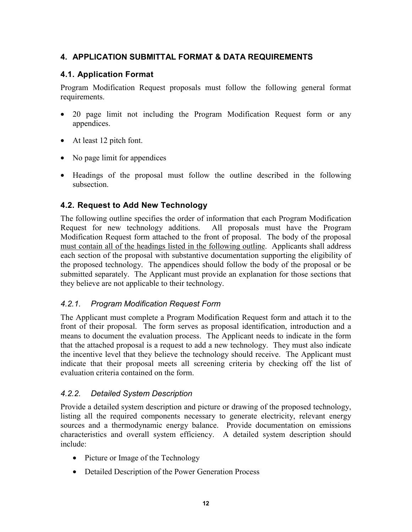# <span id="page-13-0"></span>**4. APPLICATION SUBMITTAL FORMAT & DATA REQUIREMENTS**

# **4.1. Application Format**

Program Modification Request proposals must follow the following general format requirements.

- 20 page limit not including the Program Modification Request form or any appendices.
- At least 12 pitch font.
- No page limit for appendices
- Headings of the proposal must follow the outline described in the following subsection.

# **4.2. Request to Add New Technology**

The following outline specifies the order of information that each Program Modification Request for new technology additions. All proposals must have the Program Modification Request form attached to the front of proposal. The body of the proposal must contain all of the headings listed in the following outline. Applicants shall address each section of the proposal with substantive documentation supporting the eligibility of the proposed technology. The appendices should follow the body of the proposal or be submitted separately. The Applicant must provide an explanation for those sections that they believe are not applicable to their technology.

## *4.2.1. Program Modification Request Form*

The Applicant must complete a Program Modification Request form and attach it to the front of their proposal. The form serves as proposal identification, introduction and a means to document the evaluation process. The Applicant needs to indicate in the form that the attached proposal is a request to add a new technology. They must also indicate the incentive level that they believe the technology should receive. The Applicant must indicate that their proposal meets all screening criteria by checking off the list of evaluation criteria contained on the form.

## *4.2.2. Detailed System Description*

Provide a detailed system description and picture or drawing of the proposed technology, listing all the required components necessary to generate electricity, relevant energy sources and a thermodynamic energy balance. Provide documentation on emissions characteristics and overall system efficiency. A detailed system description should include:

- Picture or Image of the Technology
- Detailed Description of the Power Generation Process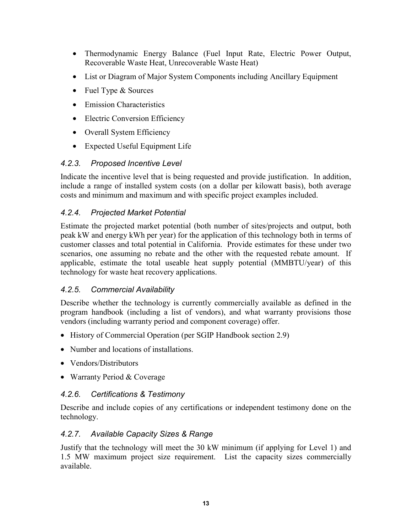- Thermodynamic Energy Balance (Fuel Input Rate, Electric Power Output, Recoverable Waste Heat, Unrecoverable Waste Heat)
- List or Diagram of Major System Components including Ancillary Equipment
- Fuel Type & Sources
- Emission Characteristics
- Electric Conversion Efficiency
- Overall System Efficiency
- Expected Useful Equipment Life

# *4.2.3. Proposed Incentive Level*

Indicate the incentive level that is being requested and provide justification. In addition, include a range of installed system costs (on a dollar per kilowatt basis), both average costs and minimum and maximum and with specific project examples included.

# *4.2.4. Projected Market Potential*

Estimate the projected market potential (both number of sites/projects and output, both peak kW and energy kWh per year) for the application of this technology both in terms of customer classes and total potential in California. Provide estimates for these under two scenarios, one assuming no rebate and the other with the requested rebate amount. If applicable, estimate the total useable heat supply potential (MMBTU/year) of this technology for waste heat recovery applications.

# *4.2.5. Commercial Availability*

Describe whether the technology is currently commercially available as defined in the program handbook (including a list of vendors), and what warranty provisions those vendors (including warranty period and component coverage) offer.

- History of Commercial Operation (per SGIP Handbook section 2.9)
- Number and locations of installations.
- Vendors/Distributors
- Warranty Period & Coverage

# *4.2.6. Certifications & Testimony*

Describe and include copies of any certifications or independent testimony done on the technology.

# *4.2.7. Available Capacity Sizes & Range*

Justify that the technology will meet the 30 kW minimum (if applying for Level 1) and 1.5 MW maximum project size requirement. List the capacity sizes commercially available.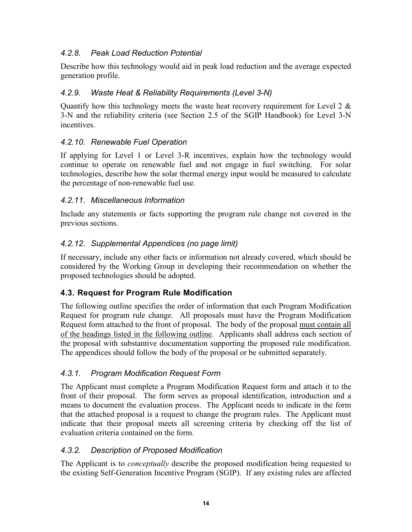# <span id="page-15-0"></span>*4.2.8. Peak Load Reduction Potential*

Describe how this technology would aid in peak load reduction and the average expected generation profile.

# *4.2.9. Waste Heat & Reliability Requirements (Level 3-N)*

Quantify how this technology meets the waste heat recovery requirement for Level 2  $\&$ 3-N and the reliability criteria (see Section 2.5 of the SGIP Handbook) for Level 3-N incentives.

# *4.2.10. Renewable Fuel Operation*

If applying for Level 1 or Level 3-R incentives, explain how the technology would continue to operate on renewable fuel and not engage in fuel switching. For solar technologies, describe how the solar thermal energy input would be measured to calculate the percentage of non-renewable fuel use.

# *4.2.11. Miscellaneous Information*

Include any statements or facts supporting the program rule change not covered in the previous sections.

# *4.2.12. Supplemental Appendices (no page limit)*

If necessary, include any other facts or information not already covered, which should be considered by the Working Group in developing their recommendation on whether the proposed technologies should be adopted.

# **4.3. Request for Program Rule Modification**

The following outline specifies the order of information that each Program Modification Request for program rule change. All proposals must have the Program Modification Request form attached to the front of proposal. The body of the proposal must contain all of the headings listed in the following outline. Applicants shall address each section of the proposal with substantive documentation supporting the proposed rule modification. The appendices should follow the body of the proposal or be submitted separately.

# *4.3.1. Program Modification Request Form*

The Applicant must complete a Program Modification Request form and attach it to the front of their proposal. The form serves as proposal identification, introduction and a means to document the evaluation process. The Applicant needs to indicate in the form that the attached proposal is a request to change the program rules. The Applicant must indicate that their proposal meets all screening criteria by checking off the list of evaluation criteria contained on the form.

# *4.3.2. Description of Proposed Modification*

The Applicant is to *conceptually* describe the proposed modification being requested to the existing Self-Generation Incentive Program (SGIP). If any existing rules are affected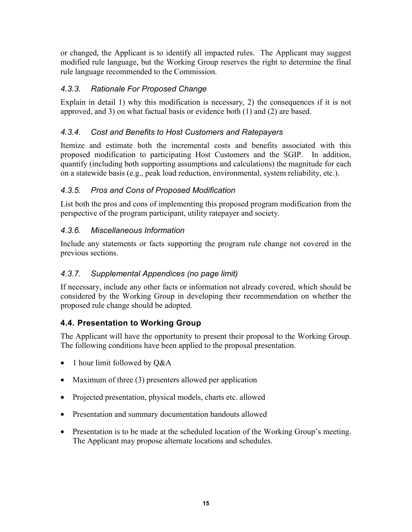<span id="page-16-0"></span>or changed, the Applicant is to identify all impacted rules. The Applicant may suggest modified rule language, but the Working Group reserves the right to determine the final rule language recommended to the Commission.

# *4.3.3. Rationale For Proposed Change*

Explain in detail 1) why this modification is necessary, 2) the consequences if it is not approved, and 3) on what factual basis or evidence both (1) and (2) are based.

# *4.3.4. Cost and Benefits to Host Customers and Ratepayers*

Itemize and estimate both the incremental costs and benefits associated with this proposed modification to participating Host Customers and the SGIP. In addition, quantify (including both supporting assumptions and calculations) the magnitude for each on a statewide basis (e.g., peak load reduction, environmental, system reliability, etc.).

# *4.3.5. Pros and Cons of Proposed Modification*

List both the pros and cons of implementing this proposed program modification from the perspective of the program participant, utility ratepayer and society.

# *4.3.6. Miscellaneous Information*

Include any statements or facts supporting the program rule change not covered in the previous sections.

# *4.3.7. Supplemental Appendices (no page limit)*

If necessary, include any other facts or information not already covered, which should be considered by the Working Group in developing their recommendation on whether the proposed rule change should be adopted.

# **4.4. Presentation to Working Group**

The Applicant will have the opportunity to present their proposal to the Working Group. The following conditions have been applied to the proposal presentation.

- 1 hour limit followed by Q&A
- Maximum of three (3) presenters allowed per application
- Projected presentation, physical models, charts etc. allowed
- Presentation and summary documentation handouts allowed
- Presentation is to be made at the scheduled location of the Working Group's meeting. The Applicant may propose alternate locations and schedules.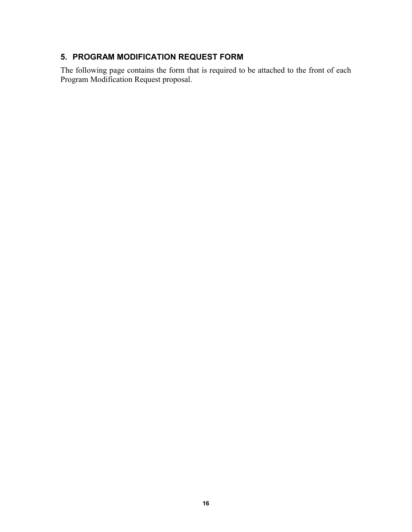# <span id="page-17-0"></span>**5. PROGRAM MODIFICATION REQUEST FORM**

The following page contains the form that is required to be attached to the front of each Program Modification Request proposal.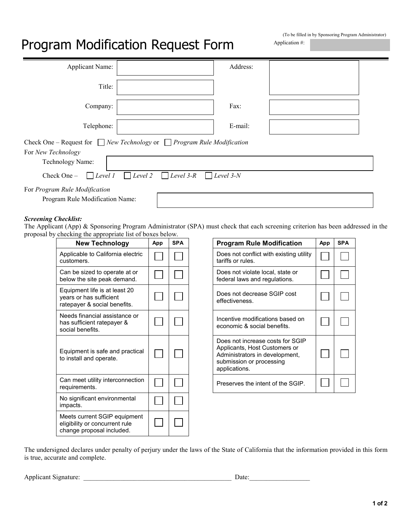# Program Modification Request Form

| (To be filled in by Sponsoring Program Administrator) |  |  |
|-------------------------------------------------------|--|--|
| Application $#$ :                                     |  |  |

| <b>Applicant Name:</b>                                                                                                                                                                                                          |  | Address: |  |  |  |
|---------------------------------------------------------------------------------------------------------------------------------------------------------------------------------------------------------------------------------|--|----------|--|--|--|
| Title:                                                                                                                                                                                                                          |  |          |  |  |  |
| Company:                                                                                                                                                                                                                        |  | Fax:     |  |  |  |
| Telephone:                                                                                                                                                                                                                      |  | E-mail:  |  |  |  |
| Check One – Request for $\Box$ New Technology or $\Box$ Program Rule Modification<br>For New Technology<br>Technology Name:<br>$\Box$ Level 2<br>$\Box$ Level 1<br>$\Box$ Level 3-R<br>Level 3-N<br>Check One -<br>$\mathbf{L}$ |  |          |  |  |  |
| For Program Rule Modification<br>Program Rule Modification Name:                                                                                                                                                                |  |          |  |  |  |

#### *Screening Checklist:*

The Applicant (App) & Sponsoring Program Administrator (SPA) must check that each screening criterion has been addressed in the proposal by checking the appropriate list of boxes below.

| <b>New Technology</b>                                                                       | App | <b>SPA</b> | <b>Program Rule Modification</b>                                                                                                                 |
|---------------------------------------------------------------------------------------------|-----|------------|--------------------------------------------------------------------------------------------------------------------------------------------------|
| Applicable to California electric<br>customers.                                             |     |            | Does not conflict with existing util<br>tariffs or rules.                                                                                        |
| Can be sized to operate at or<br>below the site peak demand.                                |     |            | Does not violate local, state or<br>federal laws and regulations.                                                                                |
| Equipment life is at least 20<br>years or has sufficient<br>ratepayer & social benefits.    |     |            | Does not decrease SGIP cost<br>effectiveness.                                                                                                    |
| Needs financial assistance or<br>has sufficient ratepayer &<br>social benefits.             |     |            | Incentive modifications based on<br>economic & social benefits.                                                                                  |
| Equipment is safe and practical<br>to install and operate.                                  |     |            | Does not increase costs for SGIF<br>Applicants, Host Customers or<br>Administrators in development,<br>submission or processing<br>applications. |
| Can meet utility interconnection<br>requirements.                                           |     |            | Preserves the intent of the SGIP.                                                                                                                |
| No significant environmental<br>impacts.                                                    |     |            |                                                                                                                                                  |
| Meets current SGIP equipment<br>eligibility or concurrent rule<br>change proposal included. |     |            |                                                                                                                                                  |

| $\mu$ g the appropriate fist of boxes below.                             |     |            |  |                                                                                                                                                  |     |            |
|--------------------------------------------------------------------------|-----|------------|--|--------------------------------------------------------------------------------------------------------------------------------------------------|-----|------------|
| <b>New Technology</b>                                                    | App | <b>SPA</b> |  | <b>Program Rule Modification</b>                                                                                                                 | App | <b>SPA</b> |
| able to California electric<br>ners.                                     |     |            |  | Does not conflict with existing utility<br>tariffs or rules.                                                                                     |     |            |
| e sized to operate at or<br>the site peak demand.                        |     |            |  | Does not violate local, state or<br>federal laws and regulations.                                                                                |     |            |
| ment life is at least 20<br>or has sufficient<br>iyer & social benefits. |     |            |  | Does not decrease SGIP cost<br>effectiveness.                                                                                                    |     |            |
| s financial assistance or<br>ufficient ratepayer &<br>benefits.          |     |            |  | Incentive modifications based on<br>economic & social benefits.                                                                                  |     |            |
| ment is safe and practical<br>all and operate.                           |     |            |  | Does not increase costs for SGIP<br>Applicants, Host Customers or<br>Administrators in development,<br>submission or processing<br>applications. |     |            |
| eet utility interconnection<br>ements.                                   |     |            |  | Preserves the intent of the SGIP.                                                                                                                |     |            |

The undersigned declares under penalty of perjury under the laws of the State of California that the information provided in this form is true, accurate and complete.

Applicant Signature: \_\_\_\_\_\_\_\_\_\_\_\_\_\_\_\_\_\_\_\_\_\_\_\_\_\_\_\_\_\_\_\_\_\_\_\_\_\_\_\_\_\_\_\_ Date:\_\_\_\_\_\_\_\_\_\_\_\_\_\_\_\_\_\_